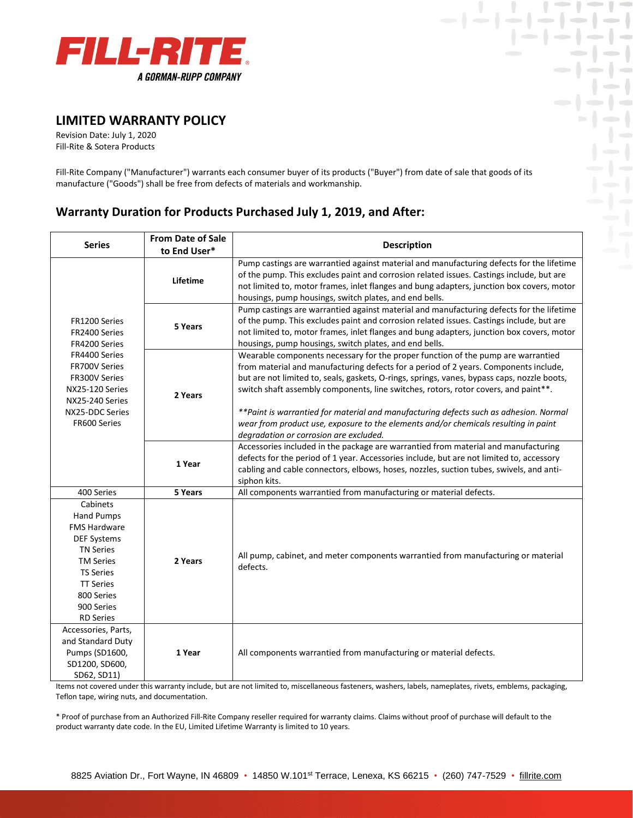

## **LIMITED WARRANTY POLICY**

Revision Date: July 1, 2020 Fill-Rite & Sotera Products

Fill-Rite Company ("Manufacturer") warrants each consumer buyer of its products ("Buyer") from date of sale that goods of its manufacture ("Goods") shall be free from defects of materials and workmanship.

 $| - | - | -$ 

 $-1-1-$ 

 $-1$ 

 $\frac{1}{2}$ 

a Maria -1-1-1-1-1-1

## **Warranty Duration for Products Purchased July 1, 2019, and After:**

| <b>Series</b>                                                                                                                                                                                              | <b>From Date of Sale</b><br>to End User* | <b>Description</b>                                                                                                                                                                                                                                                                                                                                                                                                                                                                                                                                                                        |
|------------------------------------------------------------------------------------------------------------------------------------------------------------------------------------------------------------|------------------------------------------|-------------------------------------------------------------------------------------------------------------------------------------------------------------------------------------------------------------------------------------------------------------------------------------------------------------------------------------------------------------------------------------------------------------------------------------------------------------------------------------------------------------------------------------------------------------------------------------------|
|                                                                                                                                                                                                            | Lifetime                                 | Pump castings are warrantied against material and manufacturing defects for the lifetime<br>of the pump. This excludes paint and corrosion related issues. Castings include, but are<br>not limited to, motor frames, inlet flanges and bung adapters, junction box covers, motor<br>housings, pump housings, switch plates, and end bells.                                                                                                                                                                                                                                               |
| FR1200 Series<br>FR2400 Series<br>FR4200 Series<br>FR4400 Series<br><b>FR700V Series</b><br>FR300V Series<br>NX25-120 Series<br>NX25-240 Series<br>NX25-DDC Series<br>FR600 Series                         | 5 Years                                  | Pump castings are warrantied against material and manufacturing defects for the lifetime<br>of the pump. This excludes paint and corrosion related issues. Castings include, but are<br>not limited to, motor frames, inlet flanges and bung adapters, junction box covers, motor<br>housings, pump housings, switch plates, and end bells.                                                                                                                                                                                                                                               |
|                                                                                                                                                                                                            | 2 Years                                  | Wearable components necessary for the proper function of the pump are warrantied<br>from material and manufacturing defects for a period of 2 years. Components include,<br>but are not limited to, seals, gaskets, O-rings, springs, vanes, bypass caps, nozzle boots,<br>switch shaft assembly components, line switches, rotors, rotor covers, and paint**.<br>** Paint is warrantied for material and manufacturing defects such as adhesion. Normal<br>wear from product use, exposure to the elements and/or chemicals resulting in paint<br>degradation or corrosion are excluded. |
|                                                                                                                                                                                                            | 1 Year                                   | Accessories included in the package are warrantied from material and manufacturing<br>defects for the period of 1 year. Accessories include, but are not limited to, accessory<br>cabling and cable connectors, elbows, hoses, nozzles, suction tubes, swivels, and anti-<br>siphon kits.                                                                                                                                                                                                                                                                                                 |
| 400 Series                                                                                                                                                                                                 | 5 Years                                  | All components warrantied from manufacturing or material defects.                                                                                                                                                                                                                                                                                                                                                                                                                                                                                                                         |
| Cabinets<br><b>Hand Pumps</b><br><b>FMS Hardware</b><br><b>DEF Systems</b><br><b>TN Series</b><br><b>TM Series</b><br><b>TS Series</b><br><b>TT Series</b><br>800 Series<br>900 Series<br><b>RD Series</b> | 2 Years                                  | All pump, cabinet, and meter components warrantied from manufacturing or material<br>defects.                                                                                                                                                                                                                                                                                                                                                                                                                                                                                             |
| Accessories, Parts,<br>and Standard Duty<br>Pumps (SD1600,<br>SD1200, SD600,<br>SD62, SD11)                                                                                                                | 1 Year                                   | All components warrantied from manufacturing or material defects.                                                                                                                                                                                                                                                                                                                                                                                                                                                                                                                         |

Items not covered under this warranty include, but are not limited to, miscellaneous fasteners, washers, labels, nameplates, rivets, emblems, packaging, Teflon tape, wiring nuts, and documentation.

\* Proof of purchase from an Authorized Fill-Rite Company reseller required for warranty claims. Claims without proof of purchase will default to the product warranty date code. In the EU, Limited Lifetime Warranty is limited to 10 years.